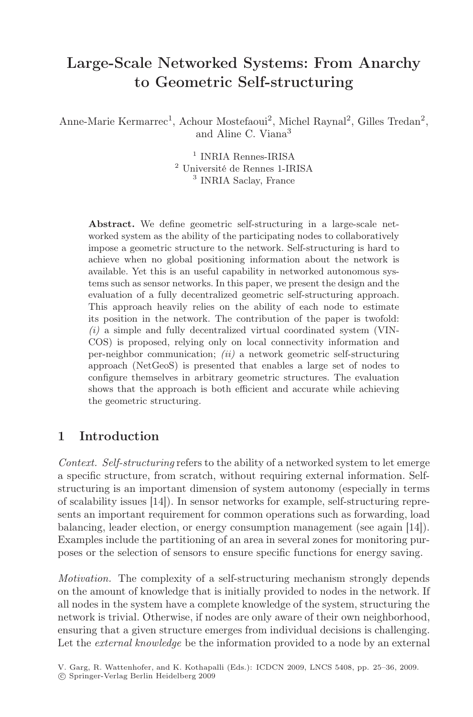# Large-Scale Networked Systems: From Anarchy to Geometric Self-structuring

Anne-Marie Kermarrec<sup>1</sup>, Achour Mostefaoui<sup>2</sup>, Michel Raynal<sup>2</sup>, Gilles Tredan<sup>2</sup>, and Aline C. Viana<sup>3</sup>

> <sup>1</sup> INRIA Rennes-IRISA <sup>2</sup> Université de Rennes 1-IRISA <sup>3</sup> INRIA Saclay, France

Abstract. We define geometric self-structuring in a large-scale networked system as the ability of the participating nodes to collaboratively impose a geometric structure to the network. Self-structuring is hard to achieve when no global positioning information about the network is available. Yet this is an useful capability in networked autonomous systems such as sensor networks. In this paper, we present the design and the evaluation of a fully decentralized geometric self-structuring approach. This approach heavily relies on the ability of each node to estimate its position in the network. The contribution of the paper is twofold: *(i)* a simple and fully decentralized virtual coordinated system (VIN-COS) is proposed, relying only on local connectivity information and per-neighbor communication; *(ii)* a network geometric self-structuring approach (NetGeoS) is presented that enables a large set of nodes to configure themselves in arbitrary geometric structures. The evaluation shows that the approach is both efficient and accurate while achieving the geometric structuring.

### 1 Introduction

*Context. Self-structuring* refers to the ability of a networked system to let emerge a specific structure, from scratch, without requiring external information. Selfstructuring is an important dimension of system autonomy (especially in terms of scalability issues [14]). In sensor networks for example, self-structuring represents an important requirement for common operations such as forwarding, load balancing, leader election, or energy consumption management (see again [14]). Examples include the partitioning of an area in several zones for monitoring purposes or the selection of sensors to ensure specific functions for energy saving.

*Motivation.* The complexity of a self-structuring mechanism strongly depends on the amount of knowledge that is initially provided to nodes in the network. If all nodes in the system have a complete knowledge of the system, structuring the network is trivial. Otherwise, if nodes are only aware of their own neighborhood, ensuring that a given structure emerges from individual decisions is challenging. Let the *external knowledge* be the information provided to a node by an external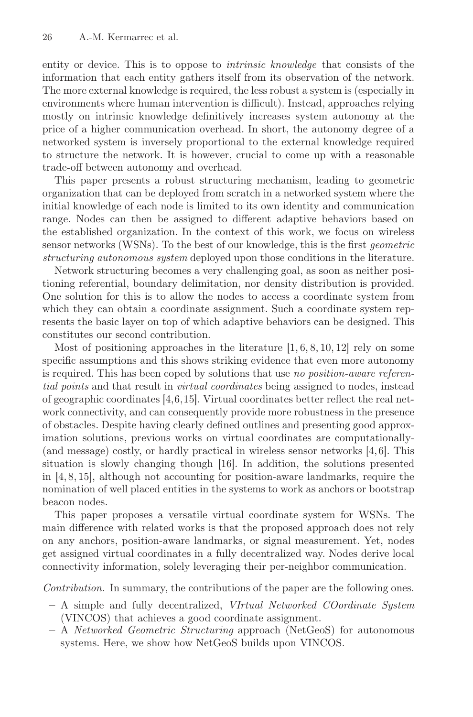entity or device. This is to oppose to *intrinsic knowledge* that consists of the information that each entity gathers itself from its observation of the network. The more external knowledge is required, the less robust a system is (especially in environments where human intervention is difficult). Instead, approaches relying mostly on intrinsic knowledge definitively increases system autonomy at the price of a higher communication overhead. In short, the autonomy degree of a networked system is inversely proportional to the external knowledge required to structure the network. It is however, crucial to come up with a reasonable trade-off between autonomy and overhead.

This paper presents a robust structuring mechanism, leading to geometric organization that can be deployed from scratch in a networked system where the initial knowledge of each node is limited to its own identity and communication range. Nodes can then be assigned to different adaptive behaviors based on the established organization. In the context of this work, we focus on wireless sensor networks (WSNs). To the best of our knowledge, this is the first *geometric structuring autonomous system* deployed upon those conditions in the literature.

Network structuring becomes a very challenging goal, as soon as neither positioning referential, boundary delimitation, nor density distribution is provided. One solution for this is to allow the nodes to access a coordinate system from which they can obtain a coordinate assignment. Such a coordinate system represents the basic layer on top of which adaptive behaviors can be designed. This constitutes our second contribution.

Most of positioning approaches in the literature  $[1, 6, 8, 10, 12]$  rely on some specific assumptions and this shows striking evidence that even more autonomy is required. This has been coped by solutions that use *no position-aware referential points* and that result in *virtual coordinates* being assigned to nodes, instead of geographic coordinates [4,6,15]. Virtual coordinates better reflect the real network connectivity, and can consequently provide more robustness in the presence of obstacles. Despite having clearly defined outlines and presenting good approximation solutions, previous works on virtual coordinates are computationally- (and message) costly, or hardly practical in wireless sensor networks [4, 6]. This situation is slowly changing though [16]. In addition, the solutions presented in [4, 8, 15], although not accounting for position-aware landmarks, require the nomination of well placed entities in the systems to work as anchors or bootstrap beacon nodes.

This paper proposes a versatile virtual coordinate system for WSNs. The main difference with related works is that the proposed approach does not rely on any anchors, position-aware landmarks, or signal measurement. Yet, nodes get assigned virtual coordinates in a fully decentralized way. Nodes derive local connectivity information, solely leveraging their per-neighbor communication.

*Contribution.* In summary, the contributions of the paper are the following ones.

- A simple and fully decentralized, *VIrtual Networked COordinate System* (VINCOS) that achieves a good coordinate assignment.
- A *Networked Geometric Structuring* approach (NetGeoS) for autonomous systems. Here, we show how NetGeoS builds upon VINCOS.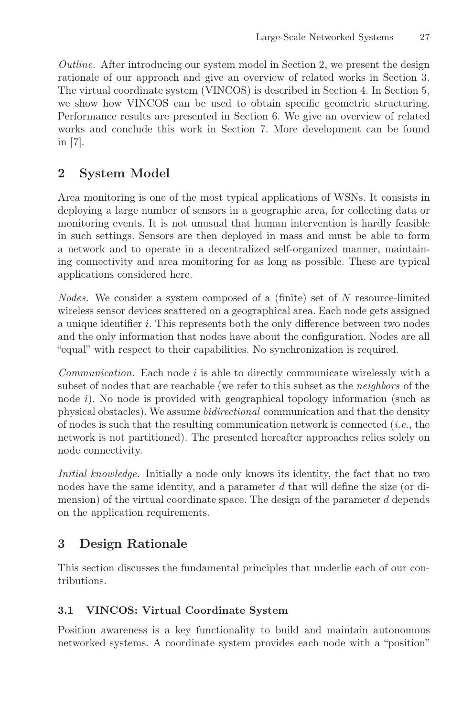*Outline.* After introducing our system model in Section 2, we present the design rationale of our approach and give an overview of related works in Section 3. The virtual coordinate system (VINCOS) is described in Section 4. In Section 5, we show how VINCOS can be used to obtain specific geometric structuring. Performance results are presented in Section 6. We give an overview of related works and conclude this work in Section 7. More development can be found in [7].

## 2 System Model

Area monitoring is one of the most typical applications of WSNs. It consists in deploying a large number of sensors in a geographic area, for collecting data or monitoring events. It is not unusual that human intervention is hardly feasible in such settings. Sensors are then deployed in mass and must be able to form a network and to operate in a decentralized self-organized manner, maintaining connectivity and area monitoring for as long as possible. These are typical applications considered here.

*Nodes.* We consider a system composed of a (finite) set of N resource-limited wireless sensor devices scattered on a geographical area. Each node gets assigned a unique identifier i. This represents both the only difference between two nodes and the only information that nodes have about the configuration. Nodes are all "equal" with respect to their capabilities. No synchronization is required.

*Communication.* Each node i is able to directly communicate wirelessly with a subset of nodes that are reachable (we refer to this subset as the *neighbors* of the node i). No node is provided with geographical topology information (such as physical obstacles). We assume *bidirectional* communication and that the density of nodes is such that the resulting communication network is connected (*i.e.*, the network is not partitioned). The presented hereafter approaches relies solely on node connectivity.

*Initial knowledge.* Initially a node only knows its identity, the fact that no two nodes have the same identity, and a parameter d that will define the size (or dimension) of the virtual coordinate space. The design of the parameter  $d$  depends on the application requirements.

## 3 Design Rationale

This section discusses the fundamental principles that underlie each of our contributions.

### 3.1 VINCOS: Virtual Coordinate System

Position awareness is a key functionality to build and maintain autonomous networked systems. A coordinate system provides each node with a "position"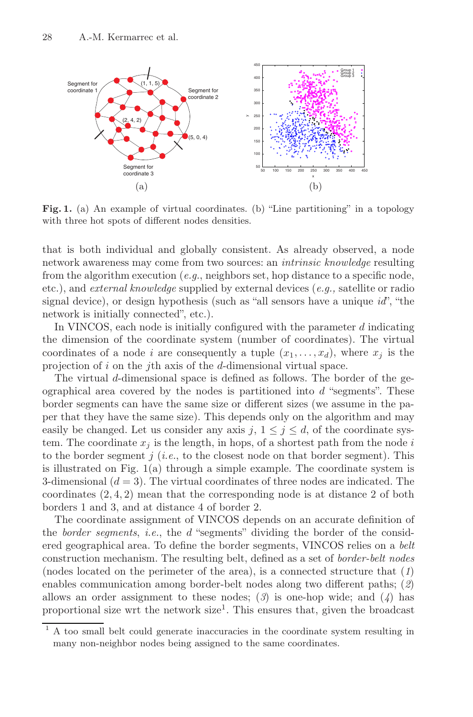

Fig. 1. (a) An example of virtual coordinates. (b) "Line partitioning" in a topology with three hot spots of different nodes densities.

that is both individual and globally consistent. As already observed, a node network awareness may come from two sources: an *intrinsic knowledge* resulting from the algorithm execution (*e.g.*, neighbors set, hop distance to a specific node, etc.), and *external knowledge* supplied by external devices (*e.g.,* satellite or radio signal device), or design hypothesis (such as "all sensors have a unique *id*", "the network is initially connected", etc.).

In VINCOS, each node is initially configured with the parameter  $d$  indicating the dimension of the coordinate system (number of coordinates). The virtual coordinates of a node i are consequently a tuple  $(x_1, \ldots, x_d)$ , where  $x_i$  is the projection of i on the jth axis of the d-dimensional virtual space.

The virtual d-dimensional space is defined as follows. The border of the geographical area covered by the nodes is partitioned into  $d$  "segments". These border segments can have the same size or different sizes (we assume in the paper that they have the same size). This depends only on the algorithm and may easily be changed. Let us consider any axis j,  $1 \leq j \leq d$ , of the coordinate system. The coordinate  $x_i$  is the length, in hops, of a shortest path from the node i to the border segment j (*i.e.*, to the closest node on that border segment). This is illustrated on Fig. 1(a) through a simple example. The coordinate system is 3-dimensional  $(d = 3)$ . The virtual coordinates of three nodes are indicated. The coordinates (2, 4, 2) mean that the corresponding node is at distance 2 of both borders 1 and 3, and at distance 4 of border 2.

The coordinate assignment of VINCOS depends on an accurate definition of the *border segments*, *i.e.*, the d "segments" dividing the border of the considered geographical area. To define the border segments, VINCOS relies on a *belt* construction mechanism. The resulting belt, defined as a set of *border-belt nodes* (nodes located on the perimeter of the area), is a connected structure that (*1*) enables communication among border-belt nodes along two different paths; (*2*) allows an order assignment to these nodes; (*3*) is one-hop wide; and (*4*) has proportional size wrt the network size<sup>1</sup>. This ensures that, given the broadcast

<sup>1</sup> A too small belt could generate inaccuracies in the coordinate system resulting in many non-neighbor nodes being assigned to the same coordinates.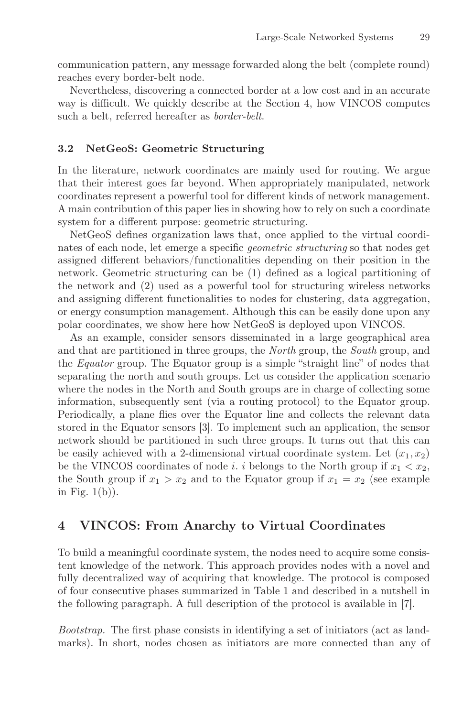communication pattern, any message forwarded along the belt (complete round) reaches every border-belt node.

Nevertheless, discovering a connected border at a low cost and in an accurate way is difficult. We quickly describe at the Section 4, how VINCOS computes such a belt, referred hereafter as *border-belt*.

#### 3.2 NetGeoS: Geometric Structuring

In the literature, network coordinates are mainly used for routing. We argue that their interest goes far beyond. When appropriately manipulated, network coordinates represent a powerful tool for different kinds of network management. A main contribution of this paper lies in showing how to rely on such a coordinate system for a different purpose: geometric structuring.

NetGeoS defines organization laws that, once applied to the virtual coordinates of each node, let emerge a specific *geometric structuring* so that nodes get assigned different behaviors/functionalities depending on their position in the network. Geometric structuring can be (1) defined as a logical partitioning of the network and (2) used as a powerful tool for structuring wireless networks and assigning different functionalities to nodes for clustering, data aggregation, or energy consumption management. Although this can be easily done upon any polar coordinates, we show here how NetGeoS is deployed upon VINCOS.

As an example, consider sensors disseminated in a large geographical area and that are partitioned in three groups, the *North* group, the *South* group, and the *Equator* group. The Equator group is a simple "straight line" of nodes that separating the north and south groups. Let us consider the application scenario where the nodes in the North and South groups are in charge of collecting some information, subsequently sent (via a routing protocol) to the Equator group. Periodically, a plane flies over the Equator line and collects the relevant data stored in the Equator sensors [3]. To implement such an application, the sensor network should be partitioned in such three groups. It turns out that this can be easily achieved with a 2-dimensional virtual coordinate system. Let  $(x_1, x_2)$ be the VINCOS coordinates of node i. i belongs to the North group if  $x_1 < x_2$ , the South group if  $x_1 > x_2$  and to the Equator group if  $x_1 = x_2$  (see example in Fig.  $1(b)$ ).

### 4 VINCOS: From Anarchy to Virtual Coordinates

To build a meaningful coordinate system, the nodes need to acquire some consistent knowledge of the network. This approach provides nodes with a novel and fully decentralized way of acquiring that knowledge. The protocol is composed of four consecutive phases summarized in Table 1 and described in a nutshell in the following paragraph. A full description of the protocol is available in [7].

*Bootstrap.* The first phase consists in identifying a set of initiators (act as landmarks). In short, nodes chosen as initiators are more connected than any of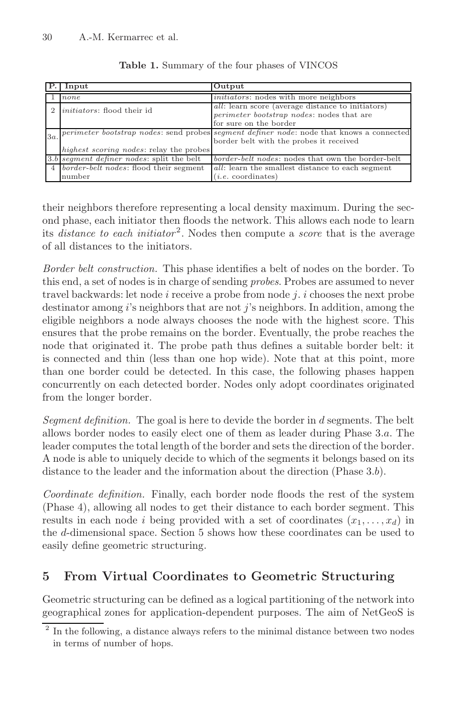|    | Input                                                      | Output                                                                                                                                            |
|----|------------------------------------------------------------|---------------------------------------------------------------------------------------------------------------------------------------------------|
|    | none                                                       | <i>initiators</i> : nodes with more neighbors                                                                                                     |
|    | <i>initiators:</i> flood their id                          | <i>all:</i> learn score (average distance to initiators)<br>perimeter bootstrap nodes: nodes that are<br>for sure on the border                   |
| 3a | highest scoring nodes: relay the probes                    | <i>perimeter bootstrap nodes:</i> send probes <i>segment definer node:</i> node that knows a connected<br>border belt with the probes it received |
|    | 3.b seqment definer nodes: split the belt                  | border-belt nodes: nodes that own the border-belt                                                                                                 |
|    | 4 <i>border-belt nodes</i> : flood their segment<br>number | <i>all</i> : learn the smallest distance to each segment<br>$(i.e.$ coordinates)                                                                  |

Table 1. Summary of the four phases of VINCOS

their neighbors therefore representing a local density maximum. During the second phase, each initiator then floods the network. This allows each node to learn its *distance to each initiator*<sup>2</sup>. Nodes then compute a *score* that is the average of all distances to the initiators.

*Border belt construction.* This phase identifies a belt of nodes on the border. To this end, a set of nodes is in charge of sending *probes*. Probes are assumed to never travel backwards: let node  $i$  receive a probe from node  $j$ ,  $i$  chooses the next probe destinator among i's neighbors that are not j's neighbors. In addition, among the eligible neighbors a node always chooses the node with the highest score. This ensures that the probe remains on the border. Eventually, the probe reaches the node that originated it. The probe path thus defines a suitable border belt: it is connected and thin (less than one hop wide). Note that at this point, more than one border could be detected. In this case, the following phases happen concurrently on each detected border. Nodes only adopt coordinates originated from the longer border.

*Segment definition.* The goal is here to devide the border in d segments. The belt allows border nodes to easily elect one of them as leader during Phase 3.a. The leader computes the total length of the border and sets the direction of the border. A node is able to uniquely decide to which of the segments it belongs based on its distance to the leader and the information about the direction (Phase 3.b).

*Coordinate definition.* Finally, each border node floods the rest of the system (Phase 4), allowing all nodes to get their distance to each border segment. This results in each node i being provided with a set of coordinates  $(x_1, \ldots, x_d)$  in the d-dimensional space. Section 5 shows how these coordinates can be used to easily define geometric structuring.

## 5 From Virtual Coordinates to Geometric Structuring

Geometric structuring can be defined as a logical partitioning of the network into geographical zones for application-dependent purposes. The aim of NetGeoS is

 $^2$  In the following, a distance always refers to the minimal distance between two nodes in terms of number of hops.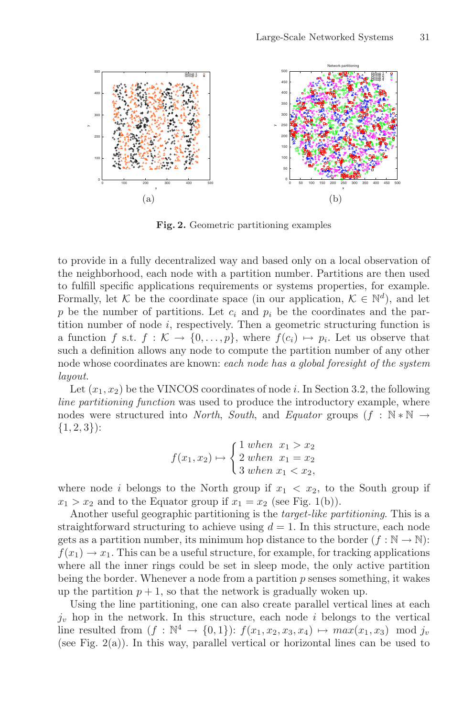

Fig. 2. Geometric partitioning examples

to provide in a fully decentralized way and based only on a local observation of the neighborhood, each node with a partition number. Partitions are then used to fulfill specific applications requirements or systems properties, for example. Formally, let K be the coordinate space (in our application,  $\mathcal{K} \in \mathbb{N}^d$ ), and let p be the number of partitions. Let  $c_i$  and  $p_i$  be the coordinates and the partition number of node i, respectively. Then a geometric structuring function is a function f s.t.  $f: \mathcal{K} \to \{0,\ldots,p\}$ , where  $f(c_i) \mapsto p_i$ . Let us observe that such a definition allows any node to compute the partition number of any other node whose coordinates are known: *each node has a global foresight of the system layout*.

Let  $(x_1, x_2)$  be the VINCOS coordinates of node *i*. In Section 3.2, the following *line partitioning function* was used to produce the introductory example, where nodes were structured into *North*, *South*, and *Equator* groups (f:  $\mathbb{N} * \mathbb{N} \rightarrow$  $\{1, 2, 3\}$ :

$$
f(x_1, x_2) \mapsto \begin{cases} 1 \text{ when } x_1 > x_2 \\ 2 \text{ when } x_1 = x_2 \\ 3 \text{ when } x_1 < x_2, \end{cases}
$$

where node i belongs to the North group if  $x_1 < x_2$ , to the South group if  $x_1 > x_2$  and to the Equator group if  $x_1 = x_2$  (see Fig. 1(b)).

Another useful geographic partitioning is the *target-like partitioning*. This is a straightforward structuring to achieve using  $d = 1$ . In this structure, each node gets as a partition number, its minimum hop distance to the border  $(f : \mathbb{N} \to \mathbb{N})$ :  $f(x_1) \rightarrow x_1$ . This can be a useful structure, for example, for tracking applications where all the inner rings could be set in sleep mode, the only active partition being the border. Whenever a node from a partition  $p$  senses something, it wakes up the partition  $p + 1$ , so that the network is gradually woken up.

Using the line partitioning, one can also create parallel vertical lines at each  $j_v$  hop in the network. In this structure, each node i belongs to the vertical line resulted from  $(f : \mathbb{N}^4 \to \{0,1\})$ :  $f(x_1, x_2, x_3, x_4) \mapsto max(x_1, x_3) \mod j_v$ (see Fig.  $2(a)$ ). In this way, parallel vertical or horizontal lines can be used to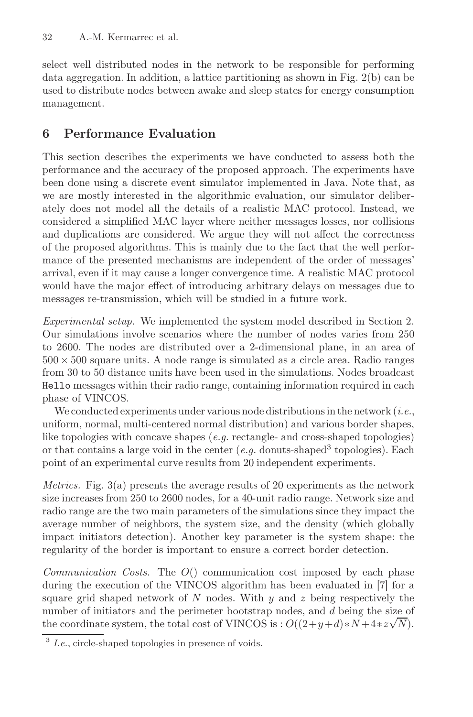select well distributed nodes in the network to be responsible for performing data aggregation. In addition, a lattice partitioning as shown in Fig. 2(b) can be used to distribute nodes between awake and sleep states for energy consumption management.

## 6 Performance Evaluation

This section describes the experiments we have conducted to assess both the performance and the accuracy of the proposed approach. The experiments have been done using a discrete event simulator implemented in Java. Note that, as we are mostly interested in the algorithmic evaluation, our simulator deliberately does not model all the details of a realistic MAC protocol. Instead, we considered a simplified MAC layer where neither messages losses, nor collisions and duplications are considered. We argue they will not affect the correctness of the proposed algorithms. This is mainly due to the fact that the well performance of the presented mechanisms are independent of the order of messages' arrival, even if it may cause a longer convergence time. A realistic MAC protocol would have the major effect of introducing arbitrary delays on messages due to messages re-transmission, which will be studied in a future work.

*Experimental setup.* We implemented the system model described in Section 2. Our simulations involve scenarios where the number of nodes varies from 250 to 2600. The nodes are distributed over a 2-dimensional plane, in an area of  $500 \times 500$  square units. A node range is simulated as a circle area. Radio ranges from 30 to 50 distance units have been used in the simulations. Nodes broadcast Hello messages within their radio range, containing information required in each phase of VINCOS.

We conducted experiments under various node distributions in the network (*i.e.*, uniform, normal, multi-centered normal distribution) and various border shapes, like topologies with concave shapes (*e.g.* rectangle- and cross-shaped topologies) or that contains a large void in the center  $(e.g.$  donuts-shaped<sup>3</sup> topologies). Each point of an experimental curve results from 20 independent experiments.

*Metrics.* Fig. 3(a) presents the average results of 20 experiments as the network size increases from 250 to 2600 nodes, for a 40-unit radio range. Network size and radio range are the two main parameters of the simulations since they impact the average number of neighbors, the system size, and the density (which globally impact initiators detection). Another key parameter is the system shape: the regularity of the border is important to ensure a correct border detection.

*Communication Costs.* The O() communication cost imposed by each phase during the execution of the VINCOS algorithm has been evaluated in [7] for a square grid shaped network of N nodes. With  $y$  and  $z$  being respectively the number of initiators and the perimeter bootstrap nodes, and d being the size of the coordinate system, the total cost of VINCOS is :  $O((2+y+d)*N+4*z\sqrt{N})$ .

<sup>3</sup> *I.e.*, circle-shaped topologies in presence of voids.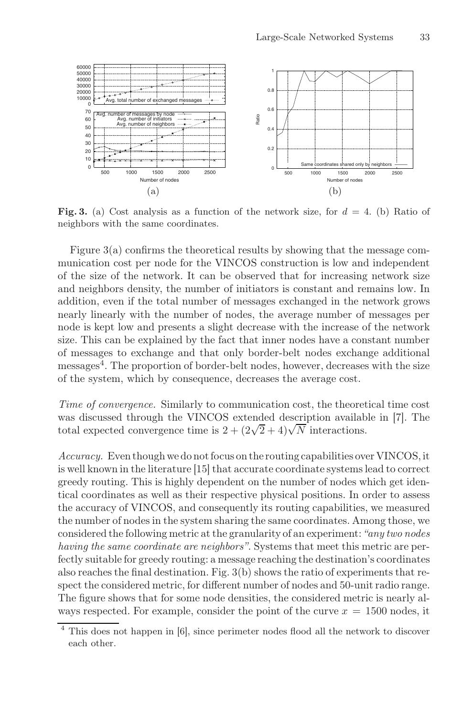

Fig. 3. (a) Cost analysis as a function of the network size, for  $d = 4$ . (b) Ratio of neighbors with the same coordinates.

Figure  $3(a)$  confirms the theoretical results by showing that the message communication cost per node for the VINCOS construction is low and independent of the size of the network. It can be observed that for increasing network size and neighbors density, the number of initiators is constant and remains low. In addition, even if the total number of messages exchanged in the network grows nearly linearly with the number of nodes, the average number of messages per node is kept low and presents a slight decrease with the increase of the network size. This can be explained by the fact that inner nodes have a constant number of messages to exchange and that only border-belt nodes exchange additional messages<sup>4</sup>. The proportion of border-belt nodes, however, decreases with the size of the system, which by consequence, decreases the average cost.

*Time of convergence.* Similarly to communication cost, the theoretical time cost was discussed through the VINCOS extended description available in [7]. The was discussed through the VINCOS extended description available total expected convergence time is  $2 + (2\sqrt{2} + 4)\sqrt{N}$  interactions.

*Accuracy.* Even though we do not focus on the routing capabilities over VINCOS, it is well known in the literature [15] that accurate coordinate systems lead to correct greedy routing. This is highly dependent on the number of nodes which get identical coordinates as well as their respective physical positions. In order to assess the accuracy of VINCOS, and consequently its routing capabilities, we measured the number of nodes in the system sharing the same coordinates. Among those, we considered the following metric at the granularity of an experiment: *"any two nodes having the same coordinate are neighbors"*. Systems that meet this metric are perfectly suitable for greedy routing: a message reaching the destination's coordinates also reaches the final destination. Fig. 3(b) shows the ratio of experiments that respect the considered metric, for different number of nodes and 50-unit radio range. The figure shows that for some node densities, the considered metric is nearly always respected. For example, consider the point of the curve  $x = 1500$  nodes, it

<sup>4</sup> This does not happen in [6], since perimeter nodes flood all the network to discover each other.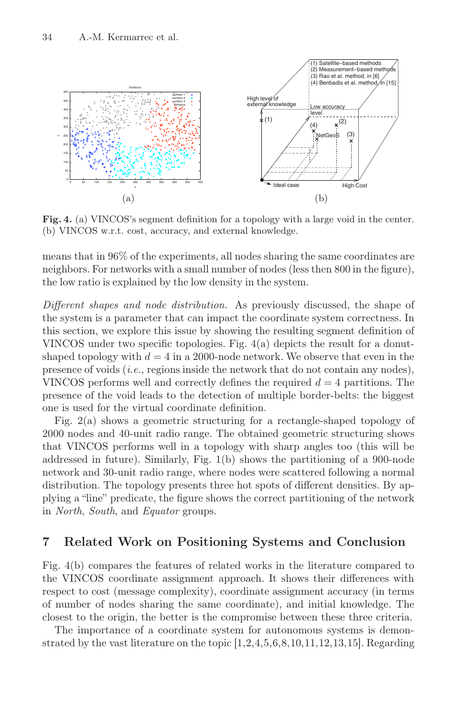

Fig. 4. (a) VINCOS's segment definition for a topology with a large void in the center. (b) VINCOS w.r.t. cost, accuracy, and external knowledge.

means that in 96% of the experiments, all nodes sharing the same coordinates are neighbors. For networks with a small number of nodes (less then 800 in the figure), the low ratio is explained by the low density in the system.

*Different shapes and node distribution.* As previously discussed, the shape of the system is a parameter that can impact the coordinate system correctness. In this section, we explore this issue by showing the resulting segment definition of VINCOS under two specific topologies. Fig. 4(a) depicts the result for a donutshaped topology with  $d = 4$  in a 2000-node network. We observe that even in the presence of voids (*i.e.*, regions inside the network that do not contain any nodes), VINCOS performs well and correctly defines the required  $d = 4$  partitions. The presence of the void leads to the detection of multiple border-belts: the biggest one is used for the virtual coordinate definition.

Fig. 2(a) shows a geometric structuring for a rectangle-shaped topology of 2000 nodes and 40-unit radio range. The obtained geometric structuring shows that VINCOS performs well in a topology with sharp angles too (this will be addressed in future). Similarly, Fig. 1(b) shows the partitioning of a 900-node network and 30-unit radio range, where nodes were scattered following a normal distribution. The topology presents three hot spots of different densities. By applying a "line" predicate, the figure shows the correct partitioning of the network in *North*, *South*, and *Equator* groups.

### 7 Related Work on Positioning Systems and Conclusion

Fig. 4(b) compares the features of related works in the literature compared to the VINCOS coordinate assignment approach. It shows their differences with respect to cost (message complexity), coordinate assignment accuracy (in terms of number of nodes sharing the same coordinate), and initial knowledge. The closest to the origin, the better is the compromise between these three criteria.

The importance of a coordinate system for autonomous systems is demonstrated by the vast literature on the topic [1,2,4,5,6,8,10,11,12,13,15]. Regarding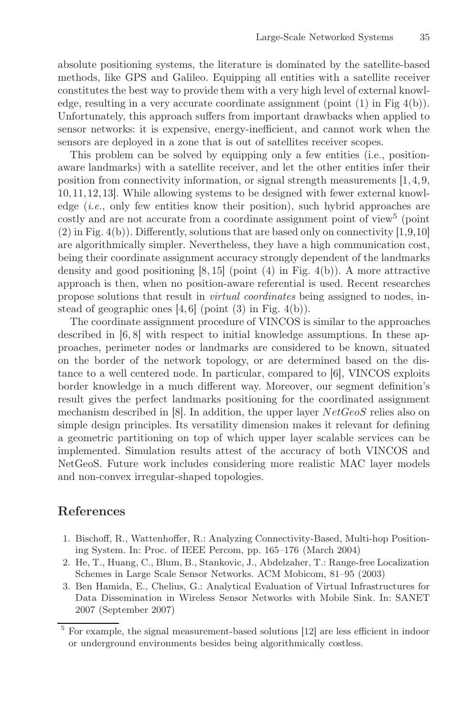absolute positioning systems, the literature is dominated by the satellite-based methods, like GPS and Galileo. Equipping all entities with a satellite receiver constitutes the best way to provide them with a very high level of external knowledge, resulting in a very accurate coordinate assignment (point (1) in Fig 4(b)). Unfortunately, this approach suffers from important drawbacks when applied to sensor networks: it is expensive, energy-inefficient, and cannot work when the sensors are deployed in a zone that is out of satellites receiver scopes.

This problem can be solved by equipping only a few entities (i.e., positionaware landmarks) with a satellite receiver, and let the other entities infer their position from connectivity information, or signal strength measurements [1, 4, 9, 10, 11, 12, 13]. While allowing systems to be designed with fewer external knowledge (*i.e.*, only few entities know their position), such hybrid approaches are costly and are not accurate from a coordinate assignment point of view<sup>5</sup> (point) (2) in Fig. 4(b)). Differently, solutions that are based only on connectivity [1,9,10] are algorithmically simpler. Nevertheless, they have a high communication cost, being their coordinate assignment accuracy strongly dependent of the landmarks density and good positioning  $[8, 15]$  (point  $(4)$  in Fig.  $4(b)$ ). A more attractive approach is then, when no position-aware referential is used. Recent researches propose solutions that result in *virtual coordinates* being assigned to nodes, instead of geographic ones [4, 6] (point (3) in Fig. 4(b)).

The coordinate assignment procedure of VINCOS is similar to the approaches described in [6, 8] with respect to initial knowledge assumptions. In these approaches, perimeter nodes or landmarks are considered to be known, situated on the border of the network topology, or are determined based on the distance to a well centered node. In particular, compared to [6], VINCOS exploits border knowledge in a much different way. Moreover, our segment definition's result gives the perfect landmarks positioning for the coordinated assignment mechanism described in [8]. In addition, the upper layer  $NetGeoS$  relies also on simple design principles. Its versatility dimension makes it relevant for defining a geometric partitioning on top of which upper layer scalable services can be implemented. Simulation results attest of the accuracy of both VINCOS and NetGeoS. Future work includes considering more realistic MAC layer models and non-convex irregular-shaped topologies.

### References

- 1. Bischoff, R., Wattenhoffer, R.: Analyzing Connectivity-Based, Multi-hop Positioning System. In: Proc. of IEEE Percom, pp. 165–176 (March 2004)
- 2. He, T., Huang, C., Blum, B., Stankovic, J., Abdelzaher, T.: Range-free Localization Schemes in Large Scale Sensor Networks. ACM Mobicom, 81–95 (2003)
- 3. Ben Hamida, E., Chelius, G.: Analytical Evaluation of Virtual Infrastructures for Data Dissemination in Wireless Sensor Networks with Mobile Sink. In: SANET 2007 (September 2007)

 $5$  For example, the signal measurement-based solutions  $[12]$  are less efficient in indoor or underground environments besides being algorithmically costless.